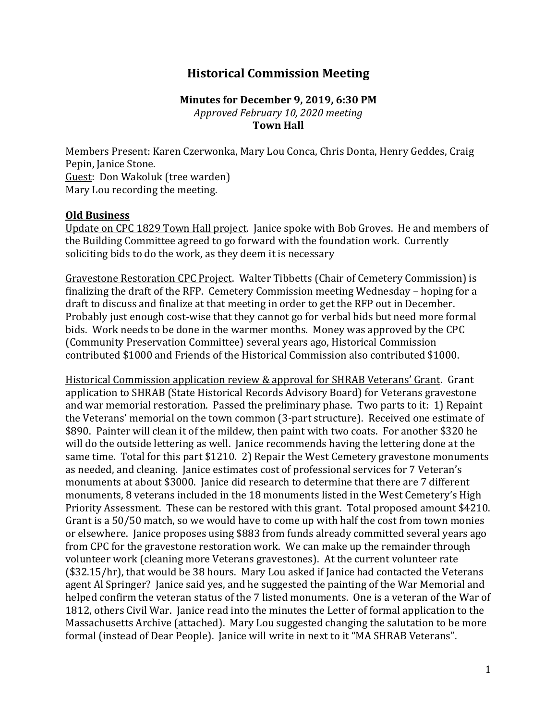## **Historical Commission Meeting**

## **Minutes for December 9, 2019, 6:30 PM** *Approved February 10, 2020 meeting* **Town Hall**

Members Present: Karen Czerwonka, Mary Lou Conca, Chris Donta, Henry Geddes, Craig Pepin, Janice Stone. Guest: Don Wakoluk (tree warden) Mary Lou recording the meeting.

## **Old Business**

Update on CPC 1829 Town Hall project. Janice spoke with Bob Groves. He and members of the Building Committee agreed to go forward with the foundation work. Currently soliciting bids to do the work, as they deem it is necessary

Gravestone Restoration CPC Project. Walter Tibbetts (Chair of Cemetery Commission) is finalizing the draft of the RFP. Cemetery Commission meeting Wednesday – hoping for a draft to discuss and finalize at that meeting in order to get the RFP out in December. Probably just enough cost-wise that they cannot go for verbal bids but need more formal bids. Work needs to be done in the warmer months. Money was approved by the CPC (Community Preservation Committee) several years ago, Historical Commission contributed \$1000 and Friends of the Historical Commission also contributed \$1000.

Historical Commission application review & approval for SHRAB Veterans' Grant. Grant application to SHRAB (State Historical Records Advisory Board) for Veterans gravestone and war memorial restoration. Passed the preliminary phase. Two parts to it: 1) Repaint the Veterans' memorial on the town common (3-part structure). Received one estimate of \$890. Painter will clean it of the mildew, then paint with two coats. For another \$320 he will do the outside lettering as well. Janice recommends having the lettering done at the same time. Total for this part \$1210. 2) Repair the West Cemetery gravestone monuments as needed, and cleaning. Janice estimates cost of professional services for 7 Veteran's monuments at about \$3000. Janice did research to determine that there are 7 different monuments, 8 veterans included in the 18 monuments listed in the West Cemetery's High Priority Assessment. These can be restored with this grant. Total proposed amount \$4210. Grant is a 50/50 match, so we would have to come up with half the cost from town monies or elsewhere. Janice proposes using \$883 from funds already committed several years ago from CPC for the gravestone restoration work. We can make up the remainder through volunteer work (cleaning more Veterans gravestones). At the current volunteer rate (\$32.15/hr), that would be 38 hours. Mary Lou asked if Janice had contacted the Veterans agent Al Springer? Janice said yes, and he suggested the painting of the War Memorial and helped confirm the veteran status of the 7 listed monuments. One is a veteran of the War of 1812, others Civil War. Janice read into the minutes the Letter of formal application to the Massachusetts Archive (attached). Mary Lou suggested changing the salutation to be more formal (instead of Dear People). Janice will write in next to it "MA SHRAB Veterans".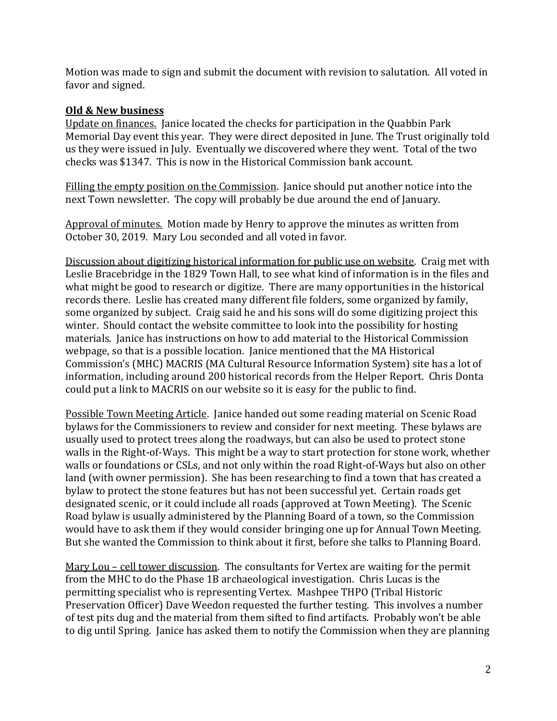Motion was made to sign and submit the document with revision to salutation. All voted in favor and signed.

## **Old & New business**

Update on finances. Janice located the checks for participation in the Quabbin Park Memorial Day event this year. They were direct deposited in June. The Trust originally told us they were issued in July. Eventually we discovered where they went. Total of the two checks was \$1347. This is now in the Historical Commission bank account.

Filling the empty position on the Commission. Janice should put another notice into the next Town newsletter. The copy will probably be due around the end of January.

Approval of minutes. Motion made by Henry to approve the minutes as written from October 30, 2019. Mary Lou seconded and all voted in favor.

Discussion about digitizing historical information for public use on website. Craig met with Leslie Bracebridge in the 1829 Town Hall, to see what kind of information is in the files and what might be good to research or digitize. There are many opportunities in the historical records there. Leslie has created many different file folders, some organized by family, some organized by subject. Craig said he and his sons will do some digitizing project this winter. Should contact the website committee to look into the possibility for hosting materials. Janice has instructions on how to add material to the Historical Commission webpage, so that is a possible location. Janice mentioned that the MA Historical Commission's (MHC) MACRIS (MA Cultural Resource Information System) site has a lot of information, including around 200 historical records from the Helper Report. Chris Donta could put a link to MACRIS on our website so it is easy for the public to find.

Possible Town Meeting Article. Janice handed out some reading material on Scenic Road bylaws for the Commissioners to review and consider for next meeting. These bylaws are usually used to protect trees along the roadways, but can also be used to protect stone walls in the Right-of-Ways. This might be a way to start protection for stone work, whether walls or foundations or CSLs, and not only within the road Right-of-Ways but also on other land (with owner permission). She has been researching to find a town that has created a bylaw to protect the stone features but has not been successful yet. Certain roads get designated scenic, or it could include all roads (approved at Town Meeting). The Scenic Road bylaw is usually administered by the Planning Board of a town, so the Commission would have to ask them if they would consider bringing one up for Annual Town Meeting. But she wanted the Commission to think about it first, before she talks to Planning Board.

Mary Lou – cell tower discussion. The consultants for Vertex are waiting for the permit from the MHC to do the Phase 1B archaeological investigation. Chris Lucas is the permitting specialist who is representing Vertex. Mashpee THPO (Tribal Historic Preservation Officer) Dave Weedon requested the further testing. This involves a number of test pits dug and the material from them sifted to find artifacts. Probably won't be able to dig until Spring. Janice has asked them to notify the Commission when they are planning